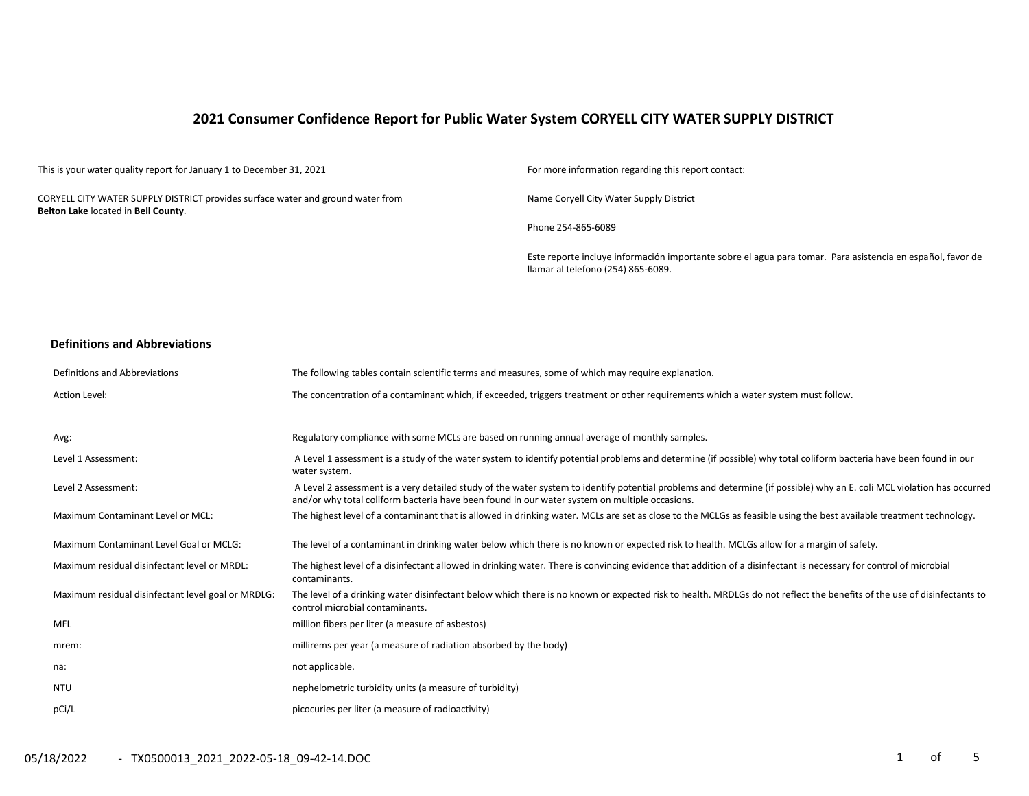# **2021 Consumer Confidence Report for Public Water System CORYELL CITY WATER SUPPLY DISTRICT**

This is your water quality report for January 1 to December 31, 2021 For more information regarding this report contact:

CORYELL CITY WATER SUPPLY DISTRICT provides surface water and ground water from **Belton Lake** located in **Bell County**.

Name Coryell City Water Supply District

Phone 254-865-6089

Este reporte incluye información importante sobre el agua para tomar. Para asistencia en español, favor de llamar al telefono (254) 865-6089.

### **Definitions and Abbreviations**

| Definitions and Abbreviations                      | The following tables contain scientific terms and measures, some of which may require explanation.                                                                                                                                                                      |
|----------------------------------------------------|-------------------------------------------------------------------------------------------------------------------------------------------------------------------------------------------------------------------------------------------------------------------------|
| Action Level:                                      | The concentration of a contaminant which, if exceeded, triggers treatment or other requirements which a water system must follow.                                                                                                                                       |
|                                                    |                                                                                                                                                                                                                                                                         |
| Avg:                                               | Regulatory compliance with some MCLs are based on running annual average of monthly samples.                                                                                                                                                                            |
| Level 1 Assessment:                                | A Level 1 assessment is a study of the water system to identify potential problems and determine (if possible) why total coliform bacteria have been found in our<br>water system.                                                                                      |
| Level 2 Assessment:                                | A Level 2 assessment is a very detailed study of the water system to identify potential problems and determine (if possible) why an E. coli MCL violation has occurred<br>and/or why total coliform bacteria have been found in our water system on multiple occasions. |
| Maximum Contaminant Level or MCL:                  | The highest level of a contaminant that is allowed in drinking water. MCLs are set as close to the MCLGs as feasible using the best available treatment technology.                                                                                                     |
| Maximum Contaminant Level Goal or MCLG:            | The level of a contaminant in drinking water below which there is no known or expected risk to health. MCLGs allow for a margin of safety.                                                                                                                              |
| Maximum residual disinfectant level or MRDL:       | The highest level of a disinfectant allowed in drinking water. There is convincing evidence that addition of a disinfectant is necessary for control of microbial<br>contaminants.                                                                                      |
| Maximum residual disinfectant level goal or MRDLG: | The level of a drinking water disinfectant below which there is no known or expected risk to health. MRDLGs do not reflect the benefits of the use of disinfectants to<br>control microbial contaminants.                                                               |
| MFL                                                | million fibers per liter (a measure of asbestos)                                                                                                                                                                                                                        |
| mrem:                                              | millirems per year (a measure of radiation absorbed by the body)                                                                                                                                                                                                        |
| na:                                                | not applicable.                                                                                                                                                                                                                                                         |
| <b>NTU</b>                                         | nephelometric turbidity units (a measure of turbidity)                                                                                                                                                                                                                  |
| pCi/L                                              | picocuries per liter (a measure of radioactivity)                                                                                                                                                                                                                       |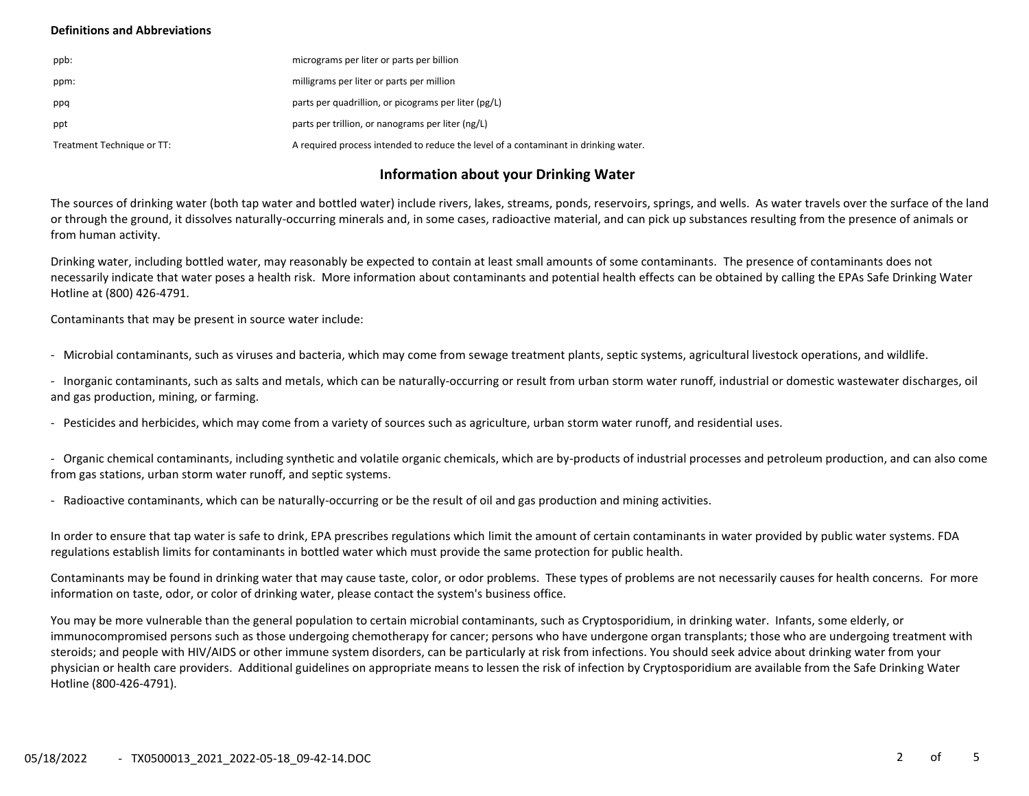## **Definitions and Abbreviations**

| ppb:                       | micrograms per liter or parts per billion                                           |
|----------------------------|-------------------------------------------------------------------------------------|
| ppm:                       | milligrams per liter or parts per million                                           |
| ppq                        | parts per quadrillion, or picograms per liter (pg/L)                                |
| ppt                        | parts per trillion, or nanograms per liter (ng/L)                                   |
| Treatment Technique or TT: | A required process intended to reduce the level of a contaminant in drinking water. |

# **Information about your Drinking Water**

The sources of drinking water (both tap water and bottled water) include rivers, lakes, streams, ponds, reservoirs, springs, and wells. As water travels over the surface of the land or through the ground, it dissolves naturally-occurring minerals and, in some cases, radioactive material, and can pick up substances resulting from the presence of animals or from human activity.

Drinking water, including bottled water, may reasonably be expected to contain at least small amounts of some contaminants. The presence of contaminants does not necessarily indicate that water poses a health risk. More information about contaminants and potential health effects can be obtained by calling the EPAs Safe Drinking Water Hotline at (800) 426-4791.

Contaminants that may be present in source water include:

- Microbial contaminants, such as viruses and bacteria, which may come from sewage treatment plants, septic systems, agricultural livestock operations, and wildlife.

- Inorganic contaminants, such as salts and metals, which can be naturally-occurring or result from urban storm water runoff, industrial or domestic wastewater discharges, oil and gas production, mining, or farming.

- Pesticides and herbicides, which may come from a variety of sources such as agriculture, urban storm water runoff, and residential uses.

- Organic chemical contaminants, including synthetic and volatile organic chemicals, which are by-products of industrial processes and petroleum production, and can also come from gas stations, urban storm water runoff, and septic systems.

- Radioactive contaminants, which can be naturally-occurring or be the result of oil and gas production and mining activities.

In order to ensure that tap water is safe to drink, EPA prescribes regulations which limit the amount of certain contaminants in water provided by public water systems. FDA regulations establish limits for contaminants in bottled water which must provide the same protection for public health.

Contaminants may be found in drinking water that may cause taste, color, or odor problems. These types of problems are not necessarily causes for health concerns. For more information on taste, odor, or color of drinking water, please contact the system's business office.

You may be more vulnerable than the general population to certain microbial contaminants, such as Cryptosporidium, in drinking water. Infants, some elderly, or immunocompromised persons such as those undergoing chemotherapy for cancer; persons who have undergone organ transplants; those who are undergoing treatment with steroids; and people with HIV/AIDS or other immune system disorders, can be particularly at risk from infections. You should seek advice about drinking water from your physician or health care providers. Additional guidelines on appropriate means to lessen the risk of infection by Cryptosporidium are available from the Safe Drinking Water Hotline (800-426-4791).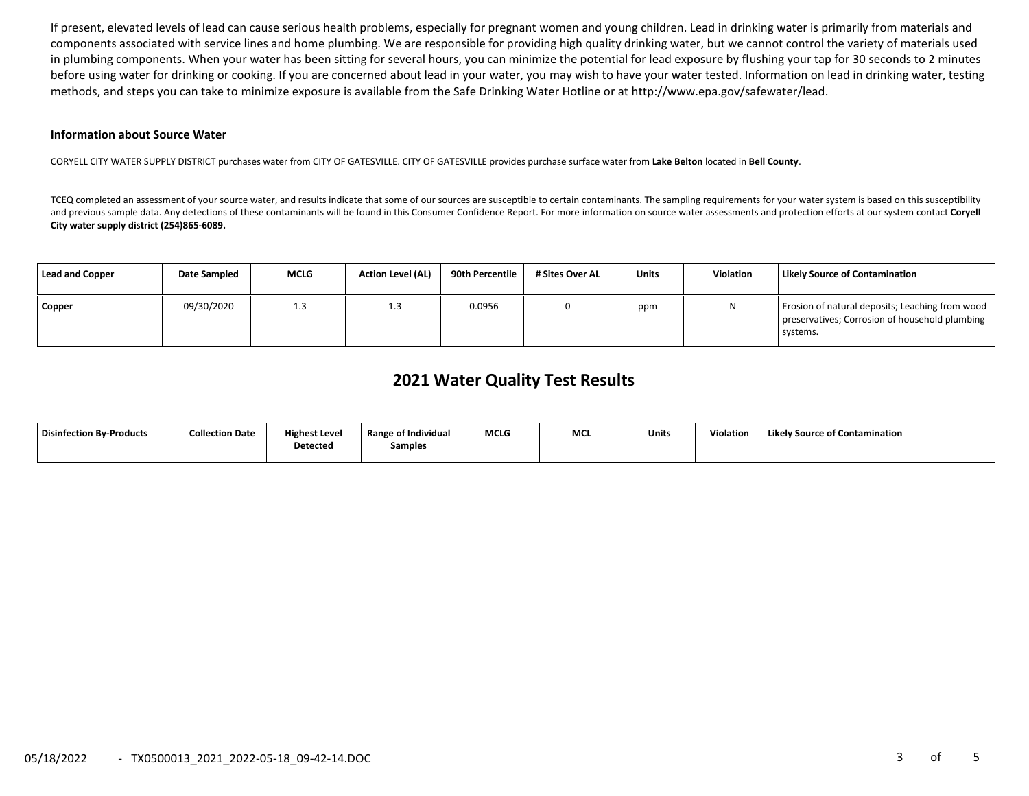If present, elevated levels of lead can cause serious health problems, especially for pregnant women and young children. Lead in drinking water is primarily from materials and components associated with service lines and home plumbing. We are responsible for providing high quality drinking water, but we cannot control the variety of materials used in plumbing components. When your water has been sitting for several hours, you can minimize the potential for lead exposure by flushing your tap for 30 seconds to 2 minutes before using water for drinking or cooking. If you are concerned about lead in your water, you may wish to have your water tested. Information on lead in drinking water, testing methods, and steps you can take to minimize exposure is available from the Safe Drinking Water Hotline or at http://www.epa.gov/safewater/lead.

#### **Information about Source Water**

CORYELL CITY WATER SUPPLY DISTRICT purchases water from CITY OF GATESVILLE. CITY OF GATESVILLE provides purchase surface water from **Lake Belton** located in **Bell County**.

TCEQ completed an assessment of your source water, and results indicate that some of our sources are susceptible to certain contaminants. The sampling requirements for your water system is based on this susceptibility and previous sample data. Any detections of these contaminants will be found in this Consumer Confidence Report. For more information on source water assessments and protection efforts at our system contact Coryell **City water supply district (254)865-6089.** 

| <b>Lead and Copper</b> | <b>Date Sampled</b> | <b>MCLG</b> | <b>Action Level (AL)</b> | 90th Percentile | # Sites Over AL | Units | <b>Violation</b> | Likely Source of Contamination                                                                                |
|------------------------|---------------------|-------------|--------------------------|-----------------|-----------------|-------|------------------|---------------------------------------------------------------------------------------------------------------|
| Copper                 | 09/30/2020          | 1.3         | 1.3                      | 0.0956          |                 | ppm   | N                | Erosion of natural deposits; Leaching from wood<br>preservatives; Corrosion of household plumbing<br>systems. |

# **2021 Water Quality Test Results**

| <b>Disinfection By-Products</b> | <b>Collection Date</b> | <b>Highest Level</b> | <b>Range of Individual</b> | <b>MCLG</b> | MCL | Units | Violation | Likely Source of Contamination |
|---------------------------------|------------------------|----------------------|----------------------------|-------------|-----|-------|-----------|--------------------------------|
|                                 |                        | <b>Detected</b>      | Samples                    |             |     |       |           |                                |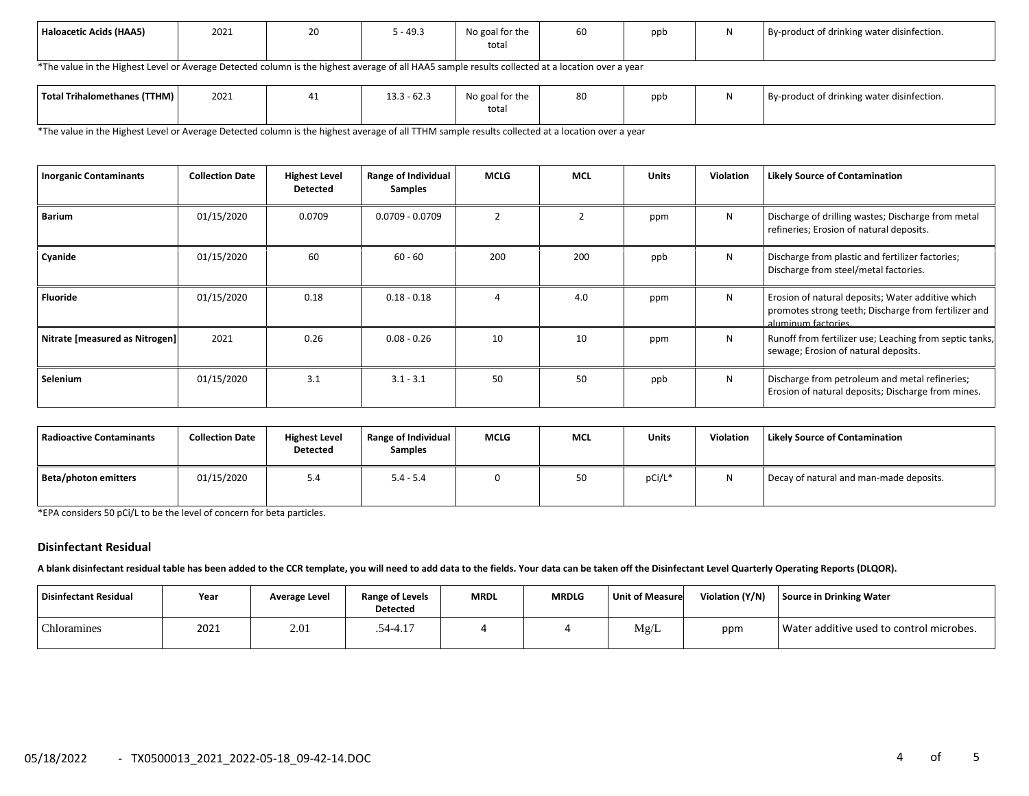| 2021<br>Haloacetic Acids (HAA5) | ∠∪ | $\sqrt{2}$<br>- 49.5 | No goal for the<br>total | σc | ppb |  | By-product of drinking water disinfection. |
|---------------------------------|----|----------------------|--------------------------|----|-----|--|--------------------------------------------|
|---------------------------------|----|----------------------|--------------------------|----|-----|--|--------------------------------------------|

\*The value in the Highest Level or Average Detected column is the highest average of all HAA5 sample results collected at a location over a year

| Total Trihalomethanes (TTHM) | 2021 | $\sim$ $\sim$<br>122<br>1 - 62.J<br>∶ د.د⊥ | No goal for the<br>total | 80 | ppb | By-product of drinking water disinfection. |
|------------------------------|------|--------------------------------------------|--------------------------|----|-----|--------------------------------------------|
|                              |      |                                            |                          |    |     |                                            |

\*The value in the Highest Level or Average Detected column is the highest average of all TTHM sample results collected at a location over a year

| <b>Inorganic Contaminants</b>  | <b>Collection Date</b> | <b>Highest Level</b><br><b>Detected</b> | Range of Individual<br>Samples | <b>MCLG</b> | <b>MCL</b>     | <b>Units</b> | <b>Violation</b> | <b>Likely Source of Contamination</b>                                                                                            |
|--------------------------------|------------------------|-----------------------------------------|--------------------------------|-------------|----------------|--------------|------------------|----------------------------------------------------------------------------------------------------------------------------------|
| <b>Barium</b>                  | 01/15/2020             | 0.0709                                  | $0.0709 - 0.0709$              |             | $\overline{2}$ | ppm          | N                | Discharge of drilling wastes; Discharge from metal<br>refineries; Erosion of natural deposits.                                   |
| Cyanide                        | 01/15/2020             | 60                                      | $60 - 60$                      | 200         | 200            | ppb          | N                | Discharge from plastic and fertilizer factories;<br>Discharge from steel/metal factories.                                        |
| Fluoride                       | 01/15/2020             | 0.18                                    | $0.18 - 0.18$                  |             | 4.0            | ppm          | N                | Erosion of natural deposits; Water additive which<br>promotes strong teeth; Discharge from fertilizer and<br>aluminum factories. |
| Nitrate [measured as Nitrogen] | 2021                   | 0.26                                    | $0.08 - 0.26$                  | 10          | 10             | ppm          | N                | Runoff from fertilizer use; Leaching from septic tanks,<br>sewage; Erosion of natural deposits.                                  |
| Selenium                       | 01/15/2020             | 3.1                                     | $3.1 - 3.1$                    | 50          | 50             | ppb          | N                | Discharge from petroleum and metal refineries;<br>Erosion of natural deposits; Discharge from mines.                             |

| Radioactive Contaminants | <b>Collection Date</b> | <b>Highest Level</b><br><b>Detected</b> | Range of Individual<br><b>Samples</b> | <b>MCLG</b> | <b>MCL</b> | <b>Units</b> | Violation    | <b>Likely Source of Contamination</b>   |
|--------------------------|------------------------|-----------------------------------------|---------------------------------------|-------------|------------|--------------|--------------|-----------------------------------------|
| Beta/photon emitters     | 01/15/2020             | 5.4                                     | $5.4 - 5.4$                           |             | 50         | pCi/L*       | $\mathbf{M}$ | Decay of natural and man-made deposits. |

\*EPA considers 50 pCi/L to be the level of concern for beta particles.

#### **Disinfectant Residual**

**A blank disinfectant residual table has been added to the CCR template, you will need to add data to the fields. Your data can be taken off the Disinfectant Level Quarterly Operating Reports (DLQOR).**

| Disinfectant Residual | Year | Average Level | <b>Range of Levels</b><br><b>Detected</b> | <b>MRDL</b> | <b>MRDLG</b> | <b>Unit of Measure</b> | Violation (Y/N) | Source in Drinking Water                 |
|-----------------------|------|---------------|-------------------------------------------|-------------|--------------|------------------------|-----------------|------------------------------------------|
| Chloramines           | 2021 | 2.01          | .54-4.17                                  |             |              | Mg/L                   | ppm             | Water additive used to control microbes. |